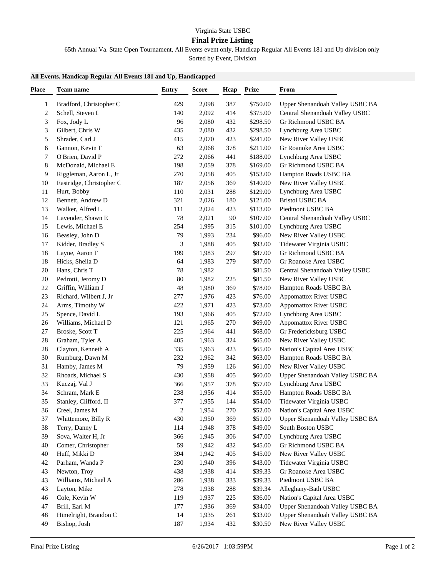## **Final Prize Listing**

65th Annual Va. State Open Tournament, All Events event only, Handicap Regular All Events 181 and Up division only

Sorted by Event, Division

## **All Events, Handicap Regular All Events 181 and Up, Handicapped**

| <b>Place</b> | Team name                              | Entry  | <b>Score</b> | Hcap       | <b>Prize</b>       | From                            |
|--------------|----------------------------------------|--------|--------------|------------|--------------------|---------------------------------|
| 1            | Bradford, Christopher C                | 429    | 2,098        | 387        | \$750.00           | Upper Shenandoah Valley USBC BA |
| 2            | Schell, Steven L                       | 140    | 2,092        | 414        | \$375.00           | Central Shenandoah Valley USBC  |
| 3            | Fox, Jody L                            | 96     | 2,080        | 432        | \$298.50           | Gr Richmond USBC BA             |
| 3            | Gilbert, Chris W                       | 435    | 2,080        | 432        | \$298.50           | Lynchburg Area USBC             |
| 5            | Shrader, Carl J                        | 415    | 2,070        | 423        | \$241.00           | New River Valley USBC           |
| 6            | Gannon, Kevin F                        | 63     | 2,068        | 378        | \$211.00           | Gr Roanoke Area USBC            |
| 7            | O'Brien, David P                       | 272    | 2,066        | 441        | \$188.00           | Lynchburg Area USBC             |
| 8            | McDonald, Michael E                    | 198    | 2,059        | 378        | \$169.00           | Gr Richmond USBC BA             |
| 9            | Riggleman, Aaron L, Jr                 | 270    | 2,058        | 405        | \$153.00           | Hampton Roads USBC BA           |
| 10           | Eastridge, Christopher C               | 187    | 2,056        | 369        | \$140.00           | New River Valley USBC           |
| 11           | Hurt, Bobby                            | 110    | 2,031        | 288        | \$129.00           | Lynchburg Area USBC             |
| 12           | Bennett, Andrew D                      | 321    | 2,026        | 180        | \$121.00           | <b>Bristol USBC BA</b>          |
| 13           | Walker, Alfred L                       | 111    | 2,024        | 423        | \$113.00           | Piedmont USBC BA                |
| 14           | Lavender, Shawn E                      | $78\,$ | 2,021        | 90         | \$107.00           | Central Shenandoah Valley USBC  |
| 15           | Lewis, Michael E                       | 254    | 1,995        | 315        | \$101.00           | Lynchburg Area USBC             |
| 16           | Beasley, John D                        | 79     | 1,993        | 234        | \$96.00            | New River Valley USBC           |
| 17           | Kidder, Bradley S                      | 3      | 1,988        | 405        | \$93.00            | Tidewater Virginia USBC         |
| 18           | Layne, Aaron F                         | 199    | 1,983        | 297        | \$87.00            | Gr Richmond USBC BA             |
| 18           | Hicks, Sheila D                        | 64     | 1,983        | 279        | \$87.00            | Gr Roanoke Area USBC            |
| 20           | Hans, Chris T                          | 78     | 1,982        |            | \$81.50            | Central Shenandoah Valley USBC  |
| 20           | Pedrotti, Jeromy D                     | $80\,$ | 1,982        | 225        | \$81.50            | New River Valley USBC           |
| $22\,$       | Griffin, William J                     | 48     | 1,980        | 369        | \$78.00            | Hampton Roads USBC BA           |
| 23           | Richard, Wilbert J, Jr                 | 277    | 1,976        | 423        | \$76.00            | <b>Appomattox River USBC</b>    |
| 24           | Arms, Timothy W                        | 422    | 1,971        | 423        | \$73.00            | Appomattox River USBC           |
| 25           | Spence, David L                        | 193    | 1,966        | 405        | \$72.00            | Lynchburg Area USBC             |
| 26           | Williams, Michael D                    | 121    | 1,965        | 270        | \$69.00            | Appomattox River USBC           |
| 27           | Broske, Scott T                        | 225    | 1,964        | 441        | \$68.00            | Gr Fredericksburg USBC          |
| 28           | Graham, Tyler A                        | 405    | 1,963        | 324        | \$65.00            | New River Valley USBC           |
| 28           | Clayton, Kenneth A                     | 335    | 1,963        | 423        | \$65.00            | Nation's Capital Area USBC      |
| 30           | Rumburg, Dawn M                        | 232    | 1,962        | 342        | \$63.00            | Hampton Roads USBC BA           |
| 31           | Hamby, James M                         | 79     | 1,959        | 126        | \$61.00            | New River Valley USBC           |
| 32           | Rhoads, Michael S                      | 430    | 1,958        | 405        | \$60.00            | Upper Shenandoah Valley USBC BA |
| 33           | Kuczaj, Val J                          | 366    | 1,957        | 378        | \$57.00            | Lynchburg Area USBC             |
| 34           | Schram, Mark E                         | 238    | 1,956        | 414        | \$55.00            | Hampton Roads USBC BA           |
| 35           | Stanley, Clifford, II                  | 377    | 1,955        | 144        | \$54.00            | Tidewater Virginia USBC         |
| 36           | Creel, James M                         | 2      | 1,954        | 270        | \$52.00            | Nation's Capital Area USBC      |
| 37           | Whittemore, Billy R                    | 430    | 1,950        | 369        | \$51.00            | Upper Shenandoah Valley USBC BA |
| 38           | Terry, Danny L                         | 114    | 1,948        | 378        | \$49.00            | South Boston USBC               |
| 39           | Sova, Walter H, Jr                     | 366    | 1,945        | 306        | \$47.00            | Lynchburg Area USBC             |
| 40           | Comer, Christopher                     | 59     | 1,942        | 432        | \$45.00            | Gr Richmond USBC BA             |
| 40           | Huff, Mikki D                          | 394    | 1,942        | 405        | \$45.00            | New River Valley USBC           |
| 42           | Parham, Wanda P                        | 230    | 1,940        | 396        | \$43.00            | Tidewater Virginia USBC         |
| 43           | Newton, Troy                           | 438    | 1,938        | 414        | \$39.33            | Gr Roanoke Area USBC            |
| 43           | Williams, Michael A                    | 286    | 1,938        | 333        | \$39.33            | Piedmont USBC BA                |
|              |                                        | 278    |              | 288        | \$39.34            | Alleghany-Bath USBC             |
| 43<br>46     | Layton, Mike                           | 119    | 1,938        |            | \$36.00            | Nation's Capital Area USBC      |
| 47           | Cole, Kevin W                          | 177    | 1,937        | $225\,$    |                    | Upper Shenandoah Valley USBC BA |
| 48           | Brill, Earl M<br>Himelright, Brandon C | 14     | 1,936        | 369        | \$34.00<br>\$33.00 | Upper Shenandoah Valley USBC BA |
| 49           |                                        | 187    | 1,935        | 261<br>432 |                    | New River Valley USBC           |
|              | Bishop, Josh                           |        | 1,934        |            | \$30.50            |                                 |